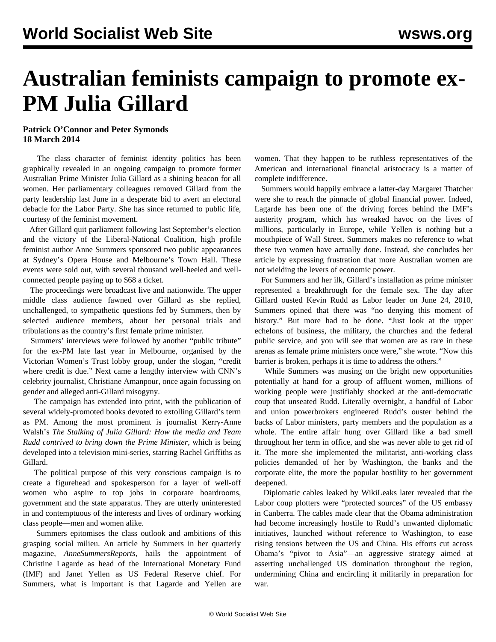## **Australian feminists campaign to promote ex-PM Julia Gillard**

## **Patrick O'Connor and Peter Symonds 18 March 2014**

 The class character of feminist identity politics has been graphically revealed in an ongoing campaign to promote former Australian Prime Minister Julia Gillard as a shining beacon for all women. Her parliamentary colleagues removed Gillard from the party leadership last June in a desperate bid to avert an electoral debacle for the Labor Party. She has since returned to public life, courtesy of the feminist movement.

 After Gillard quit parliament following last September's election and the victory of the Liberal-National Coalition, high profile feminist author Anne Summers sponsored two public appearances at Sydney's Opera House and Melbourne's Town Hall. These events were sold out, with several thousand well-heeled and wellconnected people paying up to \$68 a ticket.

 The proceedings were broadcast live and nationwide. The upper middle class audience fawned over Gillard as she replied, unchallenged, to sympathetic questions fed by Summers, then by selected audience members, about her personal trials and tribulations as the country's first female prime minister.

 Summers' interviews were followed by another "public tribute" for the ex-PM late last year in Melbourne, organised by the Victorian Women's Trust lobby group, under the slogan, "credit where credit is due." Next came a lengthy interview with CNN's celebrity journalist, Christiane Amanpour, once again focussing on gender and alleged anti-Gillard misogyny.

 The campaign has extended into print, with the publication of several widely-promoted books devoted to extolling Gillard's term as PM. Among the most prominent is journalist Kerry-Anne Walsh's *The Stalking of Julia Gillard: How the media and Team Rudd contrived to bring down the Prime Minister*, which is being developed into a television mini-series, starring Rachel Griffiths as Gillard.

 The political purpose of this very conscious campaign is to create a figurehead and spokesperson for a layer of well-off women who aspire to top jobs in corporate boardrooms, government and the state apparatus. They are utterly uninterested in and contemptuous of the interests and lives of ordinary working class people—men and women alike.

 Summers epitomises the class outlook and ambitions of this grasping social milieu. An article by Summers in her quarterly magazine, *AnneSummersReports*, hails the appointment of Christine Lagarde as head of the International Monetary Fund (IMF) and Janet Yellen as US Federal Reserve chief. For Summers, what is important is that Lagarde and Yellen are women. That they happen to be ruthless representatives of the American and international financial aristocracy is a matter of complete indifference.

 Summers would happily embrace a latter-day Margaret Thatcher were she to reach the pinnacle of global financial power. Indeed, Lagarde has been one of the driving forces behind the IMF's austerity program, which has wreaked havoc on the lives of millions, particularly in Europe, while Yellen is nothing but a mouthpiece of Wall Street. Summers makes no reference to what these two women have actually done. Instead, she concludes her article by expressing frustration that more Australian women are not wielding the levers of economic power.

 For Summers and her ilk, Gillard's installation as prime minister represented a breakthrough for the female sex. The day after Gillard ousted Kevin Rudd as Labor leader on June 24, 2010, Summers opined that there was "no denying this moment of history." But more had to be done. "Just look at the upper echelons of business, the military, the churches and the federal public service, and you will see that women are as rare in these arenas as female prime ministers once were," she wrote. "Now this barrier is broken, perhaps it is time to address the others."

 While Summers was musing on the bright new opportunities potentially at hand for a group of affluent women, millions of working people were justifiably shocked at the anti-democratic coup that unseated Rudd. Literally overnight, a handful of Labor and union powerbrokers engineered Rudd's ouster behind the backs of Labor ministers, party members and the population as a whole. The entire affair hung over Gillard like a bad smell throughout her term in office, and she was never able to get rid of it. The more she implemented the militarist, anti-working class policies demanded of her by Washington, the banks and the corporate elite, the more the popular hostility to her government deepened.

 Diplomatic cables leaked by WikiLeaks later revealed that the Labor coup plotters were "protected sources" of the US embassy in Canberra. The cables made clear that the Obama administration had become increasingly hostile to Rudd's unwanted diplomatic initiatives, launched without reference to Washington, to ease rising tensions between the US and China. His efforts cut across Obama's "pivot to Asia"—an aggressive strategy aimed at asserting unchallenged US domination throughout the region, undermining China and encircling it militarily in preparation for war.